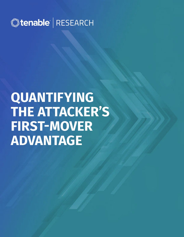

# **QUANTIFYING THE ATTACKER'S FIRST-MOVER ADVANTAGE**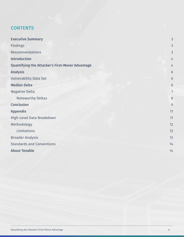# **CONTENTS**

| <b>Executive Summary</b>                                | 3  |
|---------------------------------------------------------|----|
| <b>Findings</b>                                         | 3  |
| Recommendations                                         | 3  |
| <b>Introduction</b>                                     | 4  |
| <b>Quantifying the Attacker's First-Mover Advantage</b> | 4  |
| <b>Analysis</b>                                         | 6  |
| <b>Vulnerability Data Set</b>                           | 6  |
| <b>Median Delta</b>                                     | 6  |
| <b>Negative Delta</b>                                   | 7  |
| <b>Noteworthy Deltas</b>                                | 8  |
| <b>Conclusion</b>                                       | 9  |
| <b>Appendix</b>                                         | 11 |
| High-Level Data Breakdown                               | 11 |
| Methodology                                             | 12 |
| Limitations                                             | 12 |
| <b>Broader Analysis</b>                                 | 13 |
| <b>Standards and Conventions</b>                        | 14 |
| <b>About Tenable</b>                                    | 14 |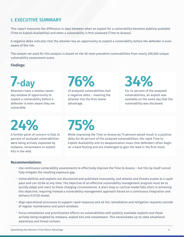# <span id="page-2-0"></span>**I. EXECUTIVE SUMMARY**

This report measures the difference in days between when an exploit for a vulnerability becomes publicly available (Time to Exploit Availability) and when a vulnerability is first assessed (Time to Assess).

A negative delta indicates that the attacker has an opportunity to exploit a vulnerability before the defender is even aware of the risk.

The sample set used for this analysis is based on the 50 most prevalent vulnerabilities from nearly 200,000 unique vulnerability assessment scans.

### **Findings:**

# **7-day**

Attackers have a median sevenday window of opportunity to exploit a vulnerability before a defender is even aware they are vulnerable.

# **76%**

of analyzed vulnerabilities had a negative delta – meaning the attacker has the first-mover advantage.

# **34%**

For 34 percent of the analyzed vulnerabilities, an exploit was available on the same day that the vulnerability was disclosed.

**24%**

A further point of concern is that 24 percent of analyzed vulnerabilities were being actively exploited by malware, ransomware or exploit kits in the wild.

# **75%**

While improving the Time to Assess by 75 percent would result in a positive delta for 66 percent of the analyzed vulnerabilities, the rapid Time to Exploit Availability and its weaponization mean that defenders often begin on a back footing and are challenged to gain the lead in the first move.

#### **Recommendations:**

- Use continuous vulnerability assessments to effectively improve the Time to Assess but this by itself cannot fully mitigate the resulting exposure gap.
- Vulnerabilities and exploits are discovered and published incessantly, and attacks and threats evolve at a rapid pace and can strike at any time. The objective of an effective vulnerability management program must be to quickly adapt and react to these changing circumstances. A start-stop or cyclical model falls short in achieving this objective, requiring instead a vulnerability management approach based on a continuous integration and delivery (CI/CD) model.
- Align operational processes to support rapid response and ad hoc remediation and mitigation requests outside of regular maintenance and patch windows.
- Focus remediation and prioritization efforts on vulnerabilities with publicly available exploits and those actively being targeted by malware, exploit kits and ransomware. This necessitates up-to-date situational awareness and threat context.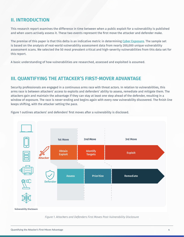# <span id="page-3-0"></span>**II. INTRODUCTION**

This research report examines the difference in time between when a public exploit for a vulnerability is published and when users actively assess it. These two events represent the first move the attacker and defender make.

The premise of this paper is that this delta is an indicative metric in determining [Cyber Exposure](http://www.tenable.com/blog/cyber-exposure-the-next-frontier-for-security). The sample set is based on the analysis of real-world vulnerability assessment data from nearly 200,000 unique vulnerability assessment scans. We selected the 50 most prevalent critical and high-severity vulnerabilities from this data set for this report.

A basic understanding of how vulnerabilities are researched, assessed and exploited is assumed.

## **III. QUANTIFYING THE ATTACKER'S FIRST-MOVER ADVANTAGE**

Security professionals are engaged in a continuous arms race with threat actors. In relation to vulnerabilities, this arms race is between attackers' access to exploits and defenders' ability to assess, remediate and mitigate them. The attackers gain and maintain the advantage if they can stay at least one step ahead of the defender, resulting in a window of exposure. The race is never-ending and begins again with every new vulnerability discovered. The finish line keeps shifting, with the attacker setting the pace.





*Figure 1. Attackers and Defenders First Moves Post-Vulnerability Disclosure*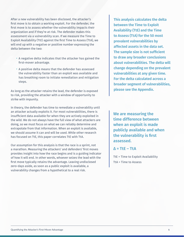After a new vulnerability has been disclosed, the attacker's first move is to obtain a working exploit. For the defender, the first move is to assess whether the vulnerability impacts their organization and if they're at risk. The defender makes this assessment via a vulnerability scan. If we measure the Time to Exploit Availability (TtE) against the first Time to Assess (TtA), we will end up with a negative or positive number expressing the delta between the two:

- A negative delta indicates that the attacker has gained the first-mover advantage.
- A positive delta means that the defender has assessed the vulnerability faster than an exploit was available and has breathing room to initiate remediation and mitigation steps.

As long as the attacker retains the lead, the defender is exposed to risk, providing the attacker with a window of opportunity to strike with impunity.

In theory, the defender has time to remediate a vulnerability until an attacker actually exploits it. For most vulnerabilities, there is insufficient data available for when they are actively exploited in the wild. We do not always have the full view of what attackers are doing, so we must focus on what we can reliably determine and extrapolate from that information. When an exploit is available, we should assume it can and will be used. While other research has focused on TtE, this paper correlates TtE with TtA.

Our assumption for this analysis is that the race is a sprint, not a marathon. Measuring the attackers' and defenders' first moves provides insight into how the race begins and is a guiding indicator of how it will end. In other words, whoever seizes the lead with the first move typically retains the advantage. Leaving undisclosed zero-days aside, as soon as a public exploit is available, a vulnerability changes from a hypothetical to a real risk.

**This analysis calculates the delta between the Time to Exploit Availability (TtE) and the Time to Assess (TtA) for the 50 most prevalent vulnerabilities by affected assets in the data set. The sample size is not sufficient to draw any broader conclusions about vulnerabilities. The delta will change depending on the prevalent vulnerabilities at any given time. For the delta calculated across a broader segment of vulnerabilities, please see the Appendix.**

**We are measuring the time difference between when an exploit is made publicly available and when the vulnerability is first assessed.**

 $\Lambda$  = TtF – TtA

TtE = Time to Exploit Availability TtA = Time to Assess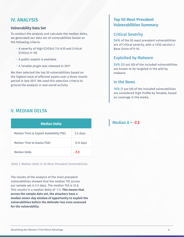## <span id="page-5-0"></span>**IV. ANALYSIS**

#### **Vulnerability Data Set**

To conduct the analysis and calculate the median delta, we generated our data set of vulnerabilities based on the following criteria:

- A severity of High (CVSSv2 7.0–8.9) and Critical (CVSSv2 9–10)
- A public exploit is available
- A Tenable plugin was released in 2017

We then selected the top 50 vulnerabilities based on the highest total of affected assets over a three-month period in late 2017. We used this selection criteria to ground the analysis in real-world activity.

# V. MEDIAN DELTA

| <b>Median Delta</b>                       |             |
|-------------------------------------------|-------------|
| Median Time to Exploit Availability (TtE) | 5.5 days    |
| Median Time to Assess (TtA)               | $12.8$ days |
| Median Delta                              | -7.3        |

*Table 1. Median Delta in 50 Most Prevalent Vulnerabilities*

The results of the analysis of the most prevalent vulnerabilities showed that the median TtE across our sample set is 5.5 days. The median TtA is 12.8. This results in a median delta of -7.3. **This means that across the sample data set, the attackers have a median seven-day window of opportunity to exploit the vulnerabilities before the defender has even assessed for the vulnerability.**

## **Top 50 Most Prevalent Vulnerabilities Summary**

## **Critical Severity**

**54%** of the 50 most prevalent vulnerabilities are of Critical severity, with a CVSS version 2 Base Score of 9-10.

## **Exploited by Malware**

**24%** (12 out 50) of the included vulnerabilities are known to be targeted in the wild by malware.

## **In the News**

**14%** (7 out 50) of the included vulnerabilities are considered High Profile by Tenable, based on coverage in the media.

## **Median Δ = -7.3**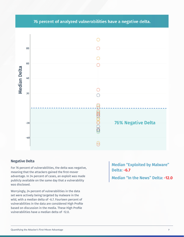## 76 percent of analyzed vulnerabilities have a negative delta.

<span id="page-6-0"></span>

#### **Negative Delta**

For 76 percent of vulnerabilities, the delta was negative, meaning that the attackers gained the first-mover advantage. In 34 percent of cases, an exploit was made publicly available on the same day that a vulnerability was disclosed.

Worryingly, 24 percent of vulnerabilities in the data set were actively being targeted by malware in the wild, with a median delta of -6.7. Fourteen percent of vulnerabilities in the data are considered High Profile based on discussion in the media. These High Profile vulnerabilities have a median delta of -12.0.

**Median "Exploited by Malware" Delta: -6.7**

**Median "In the News" Delta: -12.0**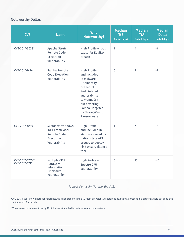## <span id="page-7-0"></span>Noteworthy Deltas

| <b>CVE</b>                       | <b>Name</b>                                                                      | <b>Why</b><br><b>Noteworthy?</b>                                                                                                                                                                   | <b>Median</b><br><b>TtE</b><br>(in full days) | <b>Median</b><br><b>TtA</b><br>(in full days) | <b>Median</b><br><b>Delta</b><br>(in full days) |
|----------------------------------|----------------------------------------------------------------------------------|----------------------------------------------------------------------------------------------------------------------------------------------------------------------------------------------------|-----------------------------------------------|-----------------------------------------------|-------------------------------------------------|
| CVE-2017-5638*                   | <b>Apache Struts</b><br><b>Remote Code</b><br>Execution<br>Vulnerability         | High Profile - root<br>cause for Equifax<br>breach                                                                                                                                                 | $\mathbf{1}$                                  | 4                                             | $-3$                                            |
| CVE-2017-7494                    | Samba Remote<br>Code Execution<br>Vulnerability                                  | <b>High Profile</b><br>and included<br>in malware<br>- SambaCry<br>or Eternal<br>Red. Related<br>vulnerability<br>to WannaCry<br>but affecting<br>Samba. Targeted<br>by StorageCrypt<br>Ransomware | $\overline{0}$                                | 9                                             | $-9$                                            |
| CVE-2017-8759                    | Microsoft Windows<br>.NET Framework<br>Remote Code<br>Execution<br>Vulnerability | <b>High Profile</b><br>and included in<br>Malware - used by<br>nation state APT<br>groups to deploy<br>FinSpy surveillance<br>tool                                                                 | 1                                             | $\overline{7}$                                | $-6$                                            |
| CVE-2017-5753**<br>CVE-2017-5715 | Multiple CPU<br>Hardware<br>Information<br><b>Disclosure</b><br>Vulnerability    | High Profile -<br>Spectre CPU<br>vulnerability                                                                                                                                                     | $\mathbf 0$                                   | 15                                            | $-15$                                           |

*Table 2. Deltas for Noteworthy CVEs*

\*CVE-2017-5638, shown here for reference, was not present in the 50 most prevalent vulnerabilities, but was present in a larger sample data set. See the Appendix for details.

\*\*Spectre was disclosed in early 2018, but was included for reference and comparison.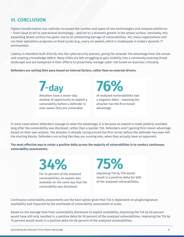## <span id="page-8-0"></span>**VI. CONCLUSION**

Digital transformation has radically increased the number and types of new technologies and compute platforms – from cloud to IoT to operational technology – and led to a dramatic growth in the attack surface. Inevitably, this expanding attack surface has given rise to an unrelenting barrage of vulnerabilities. Yet, many organizations still run their operations programs on fixed cycles (e.g., every six weeks), which is inadequate in today's dynamic IT environment.

Latency is therefore built directly into the cybersecurity process, giving the attacker the advantage from the outset and creating a knowledge deficit. Many CISOs are left struggling to gain visibility into a constantly evolving threat landscape and are hampered in their efforts to proactively manage cyber risk based on business criticality.

**Defenders are setting their pace based on internal factors, rather than on external drivers.**

**7-day** Attackers have a seven-day window of opportunity to exploit a vulnerability before a defender is even aware they are vulnerable.

**76%** of analyzed vulnerabilities had a negative delta – meaning the attacker has the first-mover

advantage.

In most cases where defenders manage to seize the advantage, it is because an exploit is made publicly available long after the vulnerability was disclosed, rather than a quicker TtA. Defenders aren't gaining first-mover advantage based on their own actions. The attacker is already racing around the first corner before the defender has even left the starting blocks. Defenders are acting like they are running solo, when they actually have an opponent.

**The most effective way to retain a positive delta across the majority of vulnerabilities is to conduct continuous vulnerability assessments.**

> **34%** For 34 percent of the analyzed vulnerabilities, an exploit was available on the same day that the vulnerability was disclosed.

Improving TtA by 75% would result in a positive delta for 66% of the analyzed vulnerabilities.

**75%**

Continuous vulnerability assessments are the best option given that TtA is dependent on plugin/signature availability and impacted by the overheads of vulnerability assessment at scale.

Based on the average time from vulnerability disclosure to exploit availability, improving the TtA by 60 percent would have still only resulted in a positive delta for 50 percent of the analyzed vulnerabilities. Improving the TtA by 75 percent would result in a positive delta for 66 percent of the analyzed vulnerabilities.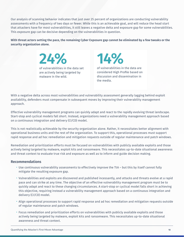Our analysis of scanning behavior indicates that just over 25 percent of organizations are conducting vulnerability assessments with a frequency of two days or fewer. While this is an achievable goal, and will reduce the head start that attackers have for most vulnerabilities, it still leaves a negative delta and exposure gap for some vulnerabilities. This exposure gap can be decisive depending on the vulnerabilities in question.

#### **With threat actors setting the pace, the remaining Cyber Exposure gap cannot be eliminated by a few tweaks or the security organization alone.**

**24%** of vulnerabilities in the data set are actively being targeted by malware in the wild.

**14%** of vulnerabilities in the data are considered High Profile based on discussion and dissemination in the media.

With a negative delta across most vulnerabilities and vulnerability assessment generally lagging behind exploit availability, defenders must compensate in subsequent moves by improving their vulnerability management approach.

Effective vulnerability management programs can quickly adapt and react to the rapidly evolving threat landscape. Start-stop and cyclical models fall short. Instead, organizations need a vulnerability management approach based on a continuous integration and delivery (CI/CD) model.

This is not realistically achievable by the security organization alone. Rather, it necessitates better alignment with operational business units and the rest of the organization. To support this, operational processes must support rapid response and ad hoc remediation and mitigation requests outside of regular maintenance and patch windows.

Remediation and prioritization efforts must be focused on vulnerabilities with publicly available exploits and those actively being targeted by malware, exploit kits and ransomware. This necessitates up-to-date situational awareness and threat context to evaluate true risk and exposure as well as to inform and guide decision making.

#### **Recommendations**

- Use continuous vulnerability assessments to effectively improve the TtA but this by itself cannot fully mitigate the resulting exposure gap.
- Vulnerabilities and exploits are discovered and published incessantly, and attacks and threats evolve at a rapid pace and can strike at any time. The objective of an effective vulnerability management program must be to quickly adapt and react to these changing circumstances. A start-stop or cyclical model falls short in achieving this objective, requiring instead a vulnerability management approach based on a continuous integration and delivery (CI/CD) model.
- Align operational processes to support rapid response and ad hoc remediation and mitigation requests outside of regular maintenance and patch windows.
- Focus remediation and prioritization efforts on vulnerabilities with publicly available exploits and those actively being targeted by malware, exploit kits and ransomware. This necessitates up-to-date situational awareness and threat context.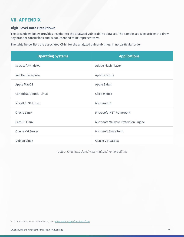# <span id="page-10-0"></span>**VII. APPENDIX**

#### **High-Level Data Breakdown**

The breakdown below provides insight into the analyzed vulnerability data set. The sample set is insufficient to draw any broader conclusions and is not intended to be representative.

The table below lists the associated CPEs' for the analyzed vulnerabilities, in no particular order.

| <b>Operating Systems</b> | <b>Applications</b>                 |
|--------------------------|-------------------------------------|
| Microsoft Windows        | Adobe Flash Player                  |
| Red Hat Enterprise       | <b>Apache Struts</b>                |
| Apple MacOS              | Apple Safari                        |
| Canonical Ubuntu Linux   | Cisco WebEx                         |
| <b>Novell SuSE Linux</b> | Microsoft IE                        |
| Oracle Linux             | Microsoft .NET Framework            |
| CentOS Linux             | Microsoft Malware Protection Engine |
| Oracle VM Server         | <b>Microsoft SharePoint</b>         |
| Debian Linux             | <b>Oracle VirtualBox</b>            |

*Table 3. CPEs Associated with Analyzed Vulnerabilities*

1. Common Platform Enumeration, see: [www.nvd.nist.gov/products/cpe](http://www.nvd.nist.gov/products/cpe)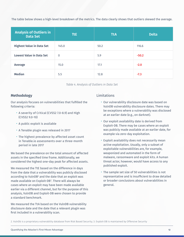<span id="page-11-0"></span>The table below shows a high-level breakdown of the metrics. The data clearly shows that outliers skewed the average.

| <b>Analysis of Outliers in</b><br><b>Data Set</b> | <b>TtE</b>   | <b>TtA</b> | <b>Delta</b> |
|---------------------------------------------------|--------------|------------|--------------|
| <b>Highest Value in Data Set</b>                  | 145.0        | 50.2       | 116.6        |
| <b>Lowest Value in Data Set</b>                   | $\mathbf{0}$ | 5.9        | $-50.2$      |
| Average                                           | 15.0         | 17.1       | $-2.0$       |
| <b>Median</b>                                     | 5.5          | 12.8       | $-7.3$       |

*Table 4. Analysis of Outliers in Data Set*

### **Methodology**

Our analysis focuses on vulnerabilities that fulfilled the following criteria:

- A severity of Critical (CVSS2 7.0-8.9) and High (CVSS2 9.0-10)
- A public exploit is available
- A Tenable plugin was released in 2017
- The highest prevalence by affected asset count in Tenable.io assessments over a three-month period in late 2017

We based the prevalence on the total amount of affected assets in the specified time frame. Additionally, we considered the highest one-day peak for affected assets.

We measured the TtE based on the difference in days from the date that a vulnerability was publicly disclosed according to VulnDB $^{\rm 2}$  and the date that an exploit was made available on Exploit-DB3 . There will always be cases where an exploit may have been made available earlier via a different channel, but for the purpose of this analysis, VulnDB and Exploit-DB were chosen to provide a standard benchmark.

We measured the TtA based on the VulnDB vulnerability disclosure date and the date that a relevant plugin was first included in a vulnerability scan.

### Limitations

- Our vulnerability disclosure date was based on VulnDB vulnerability disclosure dates. There may be exceptions where a vulnerability was disclosed at an earlier date (e.g., on darknet).
- Our exploit availability date is derived from Exploit-DB. There may be cases where an exploit was publicly made available at an earlier date, for example via zero-day exploitation.
- Exploit availability does not necessarily mean active exploitation. Usually, only a subset of exploitable vulnerabilities are, for example, weaponized and automated in the form of malware, ransomware and exploit kits. A human threat actor, however, would have access to any published exploit.
- The sample set size of 50 vulnerabilities is not representative and is insufficient to draw detailed or broader conclusions about vulnerabilities in general.

2. VulnDb is a proprietary vulnerability database from Risk Based Security; 3. Exploit-DB is maintained by Offensive Security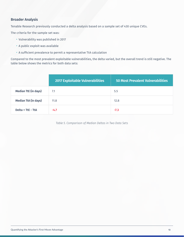### <span id="page-12-0"></span>**Broader Analysis**

Tenable Research previously conducted a delta analysis based on a sample set of 430 unique CVEs.

The criteria for the sample set was:

- Vulnerability was published in 2017
- A public exploit was available
- A sufficient prevalence to permit a representative TtA calculation

Compared to the most prevalent exploitable vulnerabilities, the delta varied, but the overall trend is still negative. The table below shows the metrics for both data sets:

|                             | <b>2017 Exploitable Vulnerabilities</b> | 50 Most Prevalent Vulnerabilities |
|-----------------------------|-----------------------------------------|-----------------------------------|
| <b>Median TtE (in days)</b> | 7.1                                     | 5.5                               |
| <b>Median TtA (in days)</b> | 11.8                                    | 12.8                              |
| Delta = TtE - TtA           | $-4.7$                                  | $-7.3$                            |

*Table 5. Comparison of Median Deltas in Two Data Sets*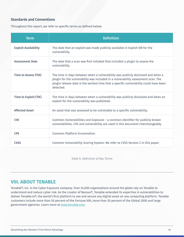### <span id="page-13-0"></span>**Standards and Conventions**

Throughout this report, we refer to specific terms as defined below:

| <b>Term</b>                 | <b>Definition</b>                                                                                                                                                                                                                                                           |
|-----------------------------|-----------------------------------------------------------------------------------------------------------------------------------------------------------------------------------------------------------------------------------------------------------------------------|
| <b>Exploit Availability</b> | The date that an exploit was made publicly available in Exploit-DB for the<br>vulnerability.                                                                                                                                                                                |
| <b>Assessment Date</b>      | The date that a scan was first initiated that included a plugin to assess the<br>vulnerability.                                                                                                                                                                             |
| <b>Time to Assess (TtA)</b> | The time in days between when a vulnerability was publicly disclosed and when a<br>plugin for the vulnerability was included in a vulnerability assessment scan. The<br>plugin release date is the earliest time that a specific vulnerability could have been<br>detected. |
| Time to Exploit (TtE)       | The time in days between when a vulnerability was publicly disclosed and when an<br>exploit for the vulnerability was published.                                                                                                                                            |
| <b>Affected Asset</b>       | An asset that was assessed to be vulnerable to a specific vulnerability.                                                                                                                                                                                                    |
| <b>CVE</b>                  | Common Vulnerabilities and Exposure – a common identifier for publicly known<br>vulnerabilities. CVE and vulnerability are used in this document interchangeably.                                                                                                           |
| <b>CPE</b>                  | <b>Common Platform Enumeration</b>                                                                                                                                                                                                                                          |
| <b>CVSS</b>                 | Common Vulnerability Scoring System. We refer to CVSS Version 2 in this paper.                                                                                                                                                                                              |

*Table 6. Definition of Key Terms*

## **VIII. ABOUT TENABLE**

Tenable®, Inc. is the Cyber Exposure company. Over 24,000 organizations around the globe rely on Tenable to understand and reduce cyber risk. As the creator of Nessus®, Tenable extended its expertise in vulnerabilities to deliver Tenable.io®, the world's first platform to see and secure any digital asset on any computing platform. Tenable customers include more than 50 percent of the Fortune 500, more than 20 percent of the Global 2000 and large government agencies. Learn more at [www.tenable.com](http://tenable.com).